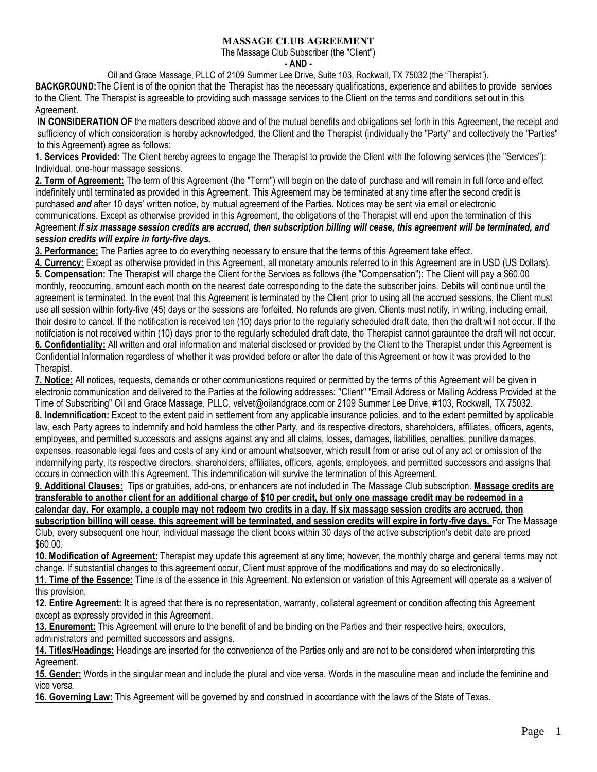## MASSAGE CLUB AGREEMENT

The Massage Club Subscriber (the "Client")

**- AND -**

Oil and Grace Massage, PLLC of 2109 Summer Lee Drive, Suite 103, Rockwall, TX 75032 (the "Therapist").

**BACKGROUND:**The Client is of the opinion that the Therapist has the necessary qualifications, experience and abilities to provide services to the Client. The Therapist is agreeable to providing such massage services to the Client on the terms and conditions set out in this Agreement.

**IN CONSIDERATION OF** the matters described above and of the mutual benefits and obligations set forth in this Agreement, the receipt and sufficiency of which consideration is hereby acknowledged, the Client and the Therapist (individually the "Party" and collectively the "Parties" to this Agreement) agree as follows:

**1. Services Provided:** The Client hereby agrees to engage the Therapist to provide the Client with the following services (the "Services"): Individual, one-hour massage sessions.

**2. Term of Agreement:** The term of this Agreement (the "Term") will begin on the date of purchase and will remain in full force and effect indefinitely until terminated as provided in this Agreement. This Agreement may be terminated at any time after the second credit is purchased *and* after 10 days' written notice, by mutual agreement of the Parties. Notices may be sent via email or electronic communications. Except as otherwise provided in this Agreement, the obligations of the Therapist will end upon the termination of this Agreement.*If six massage session credits are accrued, then subscription billing will cease, this agreement will be terminated, and session credits will expire in forty-five days.*

**3. Performance:** The Parties agree to do everything necessary to ensure that the terms of this Agreement take effect.

**4. Currency:** Except as otherwise provided in this Agreement, all monetary amounts referred to in this Agreement are in USD (US Dollars). **5. Compensation:** The Therapist will charge the Client for the Services as follows (the "Compensation"): The Client will pay a \$60.00 monthly, reoccurring, amount each month on the nearest date corresponding to the date the subscriber joins. Debits will continue until the agreement is terminated. In the event that this Agreement is terminated by the Client prior to using all the accrued sessions, the Client must use all session within forty-five (45) days or the sessions are forfeited. No refunds are given. Clients must notify, in writing, including email, their desire to cancel. If the notification is received ten (10) days prior to the regularly scheduled draft date, then the draft will not occur. If the notifciation is not received within (10) days prior to the regularly scheduled draft date, the Therapist cannot garauntee the draft will not occur. **6. Confidentiality:** All written and oral information and material disclosed or provided by the Client to the Therapist under this Agreement is

Confidential Information regardless of whether it was provided before or after the date of this Agreement or how it was provided to the Therapist.

**7. Notice:** All notices, requests, demands or other communications required or permitted by the terms of this Agreement will be given in electronic communication and delivered to the Parties at the following addresses: "Client" "Email Address or Mailing Address Provided at the Time of Subscribing" Oil and Grace Massage, PLLC, velvet@oilandgrace.com or 2109 Summer Lee Drive, #103, Rockwall, TX 75032. **8. Indemnification:** Except to the extent paid in settlement from any applicable insurance policies, and to the extent permitted by applicable law, each Party agrees to indemnify and hold harmless the other Party, and its respective directors, shareholders, affiliates, officers, agents, employees, and permitted successors and assigns against any and all claims, losses, damages, liabilities, penalties, punitive damages, expenses, reasonable legal fees and costs of any kind or amount whatsoever, which result from or arise out of any act or omission of the indemnifying party, its respective directors, shareholders, affiliates, officers, agents, employees, and permitted successors and assigns that occurs in connection with this Agreement. This indemnification will survive the termination of this Agreement.

**9. Additional Clauses:** Tips or gratuities, add-ons, or enhancers are not included in The Massage Club subscription. **Massage credits are transferable to another client for an additional charge of \$10 per credit, but only one massage credit may be redeemed in a calendar day. For example, a couple may not redeem two credits in a day. If six massage session credits are accrued, then subscription billing will cease, this agreement will be terminated, and session credits will expire in forty-five days.** For The Massage Club, every subsequent one hour, individual massage the client books within 30 days of the active subscription's debit date are priced \$60.00.

**10. Modification of Agreement:** Therapist may update this agreement at any time; however, the monthly charge and general terms may not change. If substantial changes to this agreement occur, Client must approve of the modifications and may do so electronically.

**11. Time of the Essence:** Time is of the essence in this Agreement. No extension or variation of this Agreement will operate as a waiver of this provision.

**12. Entire Agreement:** It is agreed that there is no representation, warranty, collateral agreement or condition affecting this Agreement except as expressly provided in this Agreement.

**13. Enurement:** This Agreement will enure to the benefit of and be binding on the Parties and their respective heirs, executors, administrators and permitted successors and assigns.

**14. Titles/Headings:** Headings are inserted for the convenience of the Parties only and are not to be considered when interpreting this Agreement.

**15. Gender:** Words in the singular mean and include the plural and vice versa. Words in the masculine mean and include the feminine and vice versa.

**16. Governing Law:** This Agreement will be governed by and construed in accordance with the laws of the State of Texas.